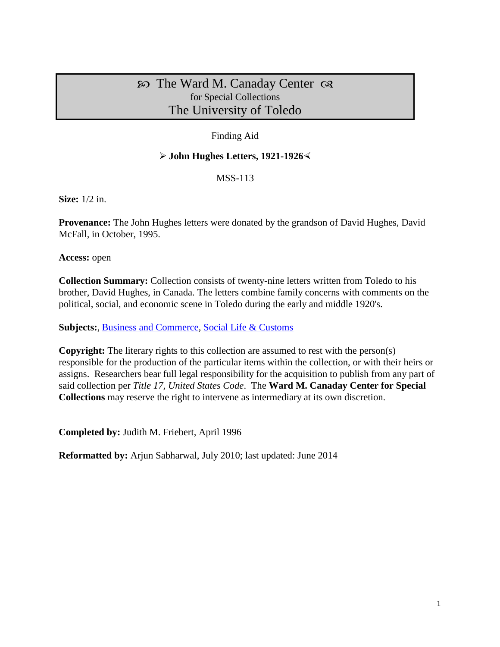# $\infty$  The Ward M. Canaday Center  $\infty$ for Special Collections The University of Toledo

## Finding Aid

## **John Hughes Letters, 1921-1926**

MSS-113

**Size:** 1/2 in.

**Provenance:** The John Hughes letters were donated by the grandson of David Hughes, David McFall, in October, 1995.

**Access:** open

**Collection Summary:** Collection consists of twenty-nine letters written from Toledo to his brother, David Hughes, in Canada. The letters combine family concerns with comments on the political, social, and economic scene in Toledo during the early and middle 1920's.

Subjects:, [Business and Commerce,](http://www.utoledo.edu/library/canaday/guidepages/business.html) [Social Life & Customs](http://www.utoledo.edu/library/canaday/guidepages/socialife.html)

**Copyright:** The literary rights to this collection are assumed to rest with the person(s) responsible for the production of the particular items within the collection, or with their heirs or assigns. Researchers bear full legal responsibility for the acquisition to publish from any part of said collection per *Title 17, United States Code*. The **Ward M. Canaday Center for Special Collections** may reserve the right to intervene as intermediary at its own discretion.

**Completed by:** Judith M. Friebert, April 1996

**Reformatted by:** Arjun Sabharwal, July 2010; last updated: June 2014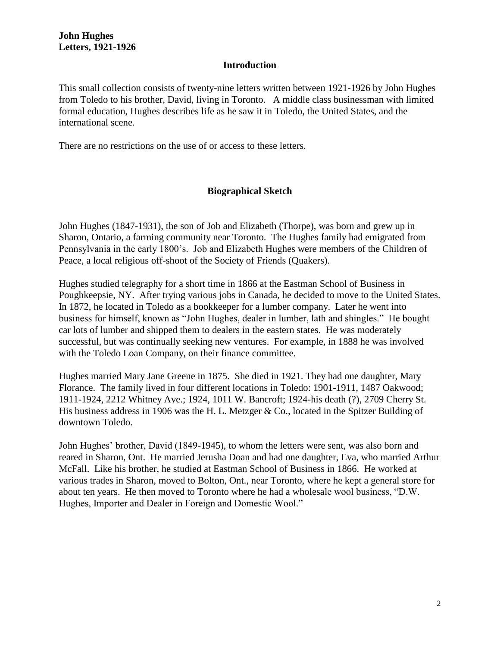#### **Introduction**

This small collection consists of twenty-nine letters written between 1921-1926 by John Hughes from Toledo to his brother, David, living in Toronto. A middle class businessman with limited formal education, Hughes describes life as he saw it in Toledo, the United States, and the international scene.

There are no restrictions on the use of or access to these letters.

## **Biographical Sketch**

John Hughes (1847-1931), the son of Job and Elizabeth (Thorpe), was born and grew up in Sharon, Ontario, a farming community near Toronto. The Hughes family had emigrated from Pennsylvania in the early 1800's. Job and Elizabeth Hughes were members of the Children of Peace, a local religious off-shoot of the Society of Friends (Quakers).

Hughes studied telegraphy for a short time in 1866 at the Eastman School of Business in Poughkeepsie, NY. After trying various jobs in Canada, he decided to move to the United States. In 1872, he located in Toledo as a bookkeeper for a lumber company. Later he went into business for himself, known as "John Hughes, dealer in lumber, lath and shingles." He bought car lots of lumber and shipped them to dealers in the eastern states. He was moderately successful, but was continually seeking new ventures. For example, in 1888 he was involved with the Toledo Loan Company, on their finance committee.

Hughes married Mary Jane Greene in 1875. She died in 1921. They had one daughter, Mary Florance. The family lived in four different locations in Toledo: 1901-1911, 1487 Oakwood; 1911-1924, 2212 Whitney Ave.; 1924, 1011 W. Bancroft; 1924-his death (?), 2709 Cherry St. His business address in 1906 was the H. L. Metzger & Co., located in the Spitzer Building of downtown Toledo.

John Hughes' brother, David (1849-1945), to whom the letters were sent, was also born and reared in Sharon, Ont. He married Jerusha Doan and had one daughter, Eva, who married Arthur McFall. Like his brother, he studied at Eastman School of Business in 1866. He worked at various trades in Sharon, moved to Bolton, Ont., near Toronto, where he kept a general store for about ten years. He then moved to Toronto where he had a wholesale wool business, "D.W. Hughes, Importer and Dealer in Foreign and Domestic Wool."